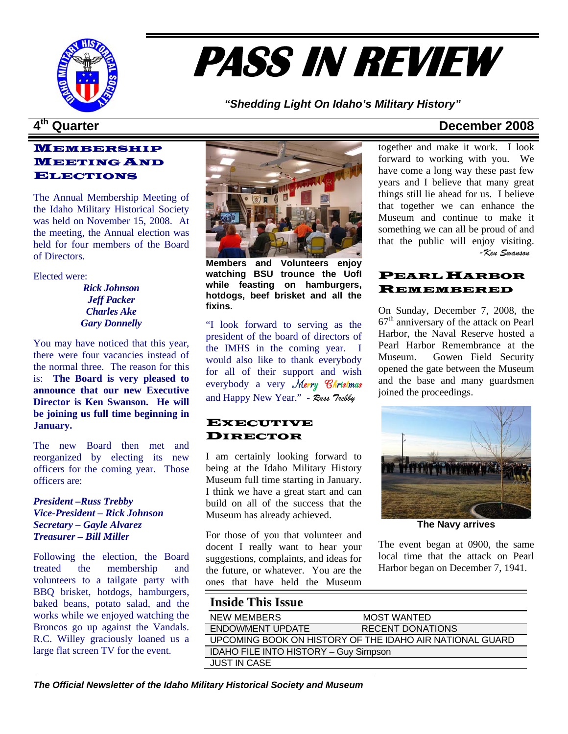

# **PASS IN REVIEW**

*"Shedding Light On Idaho's Military History"* 

### MEMBERSHIP MEETING AND ELECTIONS

The Annual Membership Meeting of the Idaho Military Historical Society was held on November 15, 2008. At the meeting, the Annual election was held for four members of the Board of Directors.

Elected were:

*Rick Johnson Jeff Packer Charles Ake Gary Donnelly* 

You may have noticed that this year, there were four vacancies instead of the normal three. The reason for this is: **The Board is very pleased to announce that our new Executive Director is Ken Swanson. He will be joining us full time beginning in January.** 

The new Board then met and reorganized by electing its new officers for the coming year. Those officers are:

*President –Russ Trebby Vice-President – Rick Johnson Secretary – Gayle Alvarez Treasurer – Bill Miller* 

Following the election, the Board treated the membership and volunteers to a tailgate party with BBQ brisket, hotdogs, hamburgers, baked beans, potato salad, and the works while we enjoyed watching the Broncos go up against the Vandals. R.C. Willey graciously loaned us a large flat screen TV for the event.



 **Members and Volunteers enjoy watching BSU trounce the UofI while feasting on hamburgers, hotdogs, beef brisket and all the fixins.** 

"I look forward to serving as the president of the board of directors of the IMHS in the coming year. I would also like to thank everybody for all of their support and wish everybody a very Merry Christmas and Happy New Year." - *Russ Trebby*

### **EXECUTIVE** DIRECTOR

I am certainly looking forward to being at the Idaho Military History Museum full time starting in January. I think we have a great start and can build on all of the success that the Museum has already achieved.

For those of you that volunteer and docent I really want to hear your suggestions, complaints, and ideas for the future, or whatever. You are the ones that have held the Museum

## **4th Quarter December 2008**

together and make it work. I look forward to working with you. We have come a long way these past few years and I believe that many great things still lie ahead for us. I believe that together we can enhance the Museum and continue to make it something we can all be proud of and that the public will enjoy visiting. *-Ken Swanson* 

### PEARL HARBOR REMEMBERED

On Sunday, December 7, 2008, the  $67<sup>th</sup>$  anniversary of the attack on Pearl Harbor, the Naval Reserve hosted a Pearl Harbor Remembrance at the Museum. Gowen Field Security opened the gate between the Museum and the base and many guardsmen joined the proceedings.



**The Navy arrives**

The event began at 0900, the same local time that the attack on Pearl Harbor began on December 7, 1941.

### **Inside This Issue**

|  | <b>NEW MEMBERS</b>                           | <b>MOST WANTED</b>                                       |
|--|----------------------------------------------|----------------------------------------------------------|
|  | ENDOWMENT UPDATE                             | <b>RECENT DONATIONS</b>                                  |
|  |                                              | UPCOMING BOOK ON HISTORY OF THE IDAHO AIR NATIONAL GUARD |
|  | <b>IDAHO FILE INTO HISTORY - Guy Simpson</b> |                                                          |
|  | <b>JUST IN CASE</b>                          |                                                          |
|  |                                              |                                                          |

*The Official Newsletter of the Idaho Military Historical Society and Museum*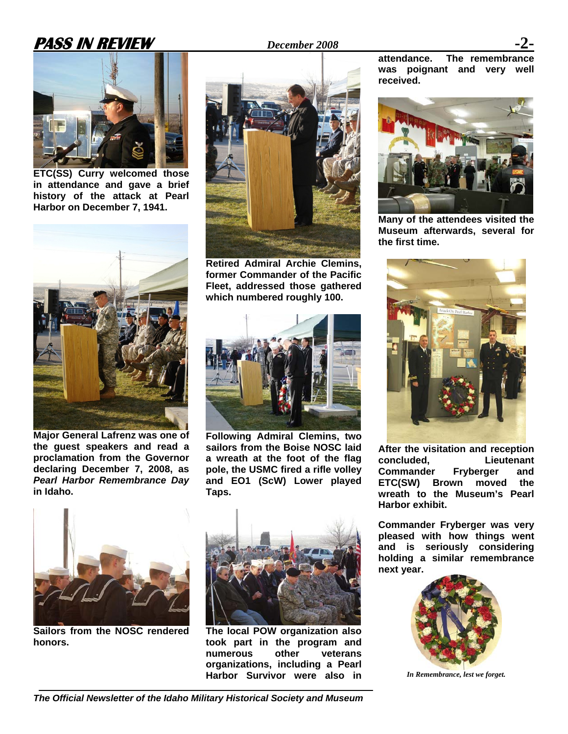# **PASS IN REVIEW** *December 2008*



**ETC(SS) Curry welcomed those in attendance and gave a brief history of the attack at Pearl Harbor on December 7, 1941.** 



**Major General Lafrenz was one of the guest speakers and read a proclamation from the Governor declaring December 7, 2008, as**  *Pearl Harbor Remembrance Day* **in Idaho.** 



**Retired Admiral Archie Clemins, former Commander of the Pacific Fleet, addressed those gathered which numbered roughly 100.** 



**Following Admiral Clemins, two sailors from the Boise NOSC laid a wreath at the foot of the flag pole, the USMC fired a rifle volley and EO1 (ScW) Lower played Taps.** 





**Many of the attendees visited the Museum afterwards, several for the first time.** 



**After the visitation and reception concluded, Lieutenant Commander Fryberger and ETC(SW) Brown moved the wreath to the Museum's Pearl Harbor exhibit.**

**Commander Fryberger was very pleased with how things went and is seriously considering holding a similar remembrance next year.** 



*In Remembrance, lest we forget.*



**Sailors from the NOSC rendered honors.** 



**The local POW organization also took part in the program and numerous other veterans organizations, including a Pearl Harbor Survivor were also in**

*The Official Newsletter of the Idaho Military Historical Society and Museum*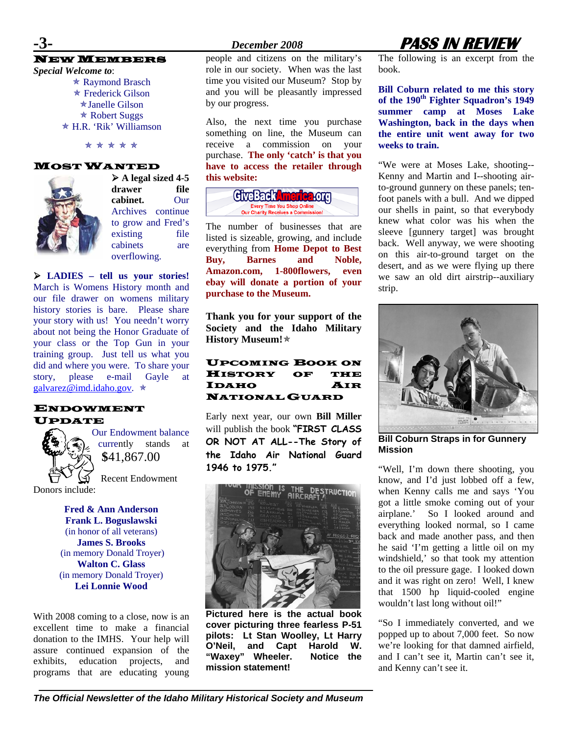### NEW MEMBERS

*Special Welcome to*:

 $*$  Raymond Brasch  $*$  Frederick Gilson  $\star$ Janelle Gilson  $\star$  Robert Suggs Õ H.R. 'Rik' Williamson

\* \* \* \* \*

### MOST WANTED



¾ **A legal sized 4-5 drawer file cabinet.** Our Archives continue to grow and Fred's existing file cabinets are overflowing.

¾ **LADIES – tell us your stories!**  March is Womens History month and our file drawer on womens military history stories is bare. Please share your story with us! You needn't worry about not being the Honor Graduate of your class or the Top Gun in your training group. Just tell us what you did and where you were. To share your story, please e-mail Gayle at [galvarez@imd.idaho.gov.](mailto:galvarez@imd.idaho.gov)  $\star$ 

### ENDOWMENT UPDATE



Our Endowment balance currently stands at **\$**41,867.00

Recent Endowment Donors include:

> **Fred & Ann Anderson Frank L. Boguslawski**  (in honor of all veterans) **James S. Brooks**  (in memory Donald Troyer) **Walton C. Glass**  (in memory Donald Troyer) **Lei Lonnie Wood**

With 2008 coming to a close, now is an excellent time to make a financial donation to the IMHS. Your help will assure continued expansion of the exhibits, education projects, and programs that are educating young people and citizens on the military's role in our society. When was the last time you visited our Museum? Stop by and you will be pleasantly impressed by our progress.

Also, the next time you purchase something on line, the Museum can receive a commission on your purchase. **The only 'catch' is that you have to access the retailer through this website:** 

| CiveBack <b>America</b> org                                                    |  |
|--------------------------------------------------------------------------------|--|
| <b>Every Time You Shop Online</b><br><b>Our Charity Receives a Commission!</b> |  |

The number of businesses that are listed is sizeable, growing, and include everything from **Home Depot to Best Buy, Barnes and Noble, Amazon.com, 1-800flowers, even ebay will donate a portion of your purchase to the Museum.** 

**Thank you for your support of the Society and the Idaho Military History Museum!**Õ

### UPCOMING BOOK ON HISTORY OF THE IDAHO AIR NATIONAL GUARD

Early next year, our own **Bill Miller** will publish the book **"FIRST CLASS OR NOT AT ALL--The Story of the Idaho Air National Guard 1946 to 1975."** 



**Pictured here is the actual book cover picturing three fearless P-51 pilots: Lt Stan Woolley, Lt Harry O'Neil, and Capt Harold W. "Waxey" Wheeler. Notice the mission statement!** 

# **-3-** *December 2008* **PASS IN REVIEW**

The following is an excerpt from the book.

**Bill Coburn related to me this story**  of the 190<sup>th</sup> Fighter Squadron's 1949 **summer camp at Moses Lake Washington, back in the days when the entire unit went away for two weeks to train.** 

"We were at Moses Lake, shooting-- Kenny and Martin and I--shooting airto-ground gunnery on these panels; tenfoot panels with a bull. And we dipped our shells in paint, so that everybody knew what color was his when the sleeve [gunnery target] was brought back. Well anyway, we were shooting on this air-to-ground target on the desert, and as we were flying up there we saw an old dirt airstrip--auxiliary strip.



**Bill Coburn Straps in for Gunnery Mission**

"Well, I'm down there shooting, you know, and I'd just lobbed off a few, when Kenny calls me and says 'You got a little smoke coming out of your airplane.' So I looked around and everything looked normal, so I came back and made another pass, and then he said 'I'm getting a little oil on my windshield,' so that took my attention to the oil pressure gage. I looked down and it was right on zero! Well, I knew that 1500 hp liquid-cooled engine wouldn't last long without oil!"

"So I immediately converted, and we popped up to about 7,000 feet. So now we're looking for that damned airfield, and I can't see it, Martin can't see it, and Kenny can't see it.

*The Official Newsletter of the Idaho Military Historical Society and Museum*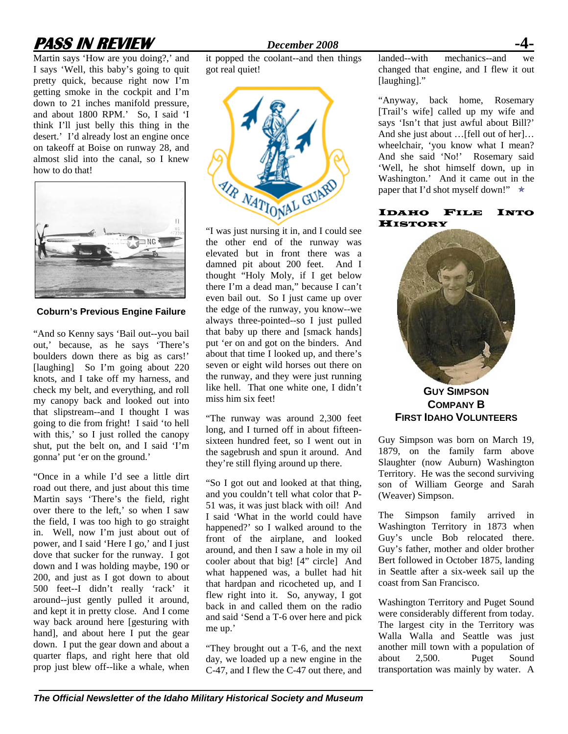# **PASS IN REVIEW** *December 2008*

Martin says 'How are you doing?,' and I says 'Well, this baby's going to quit pretty quick, because right now I'm getting smoke in the cockpit and I'm down to 21 inches manifold pressure, and about 1800 RPM.' So, I said 'I think I'll just belly this thing in the desert.' I'd already lost an engine once on takeoff at Boise on runway 28, and almost slid into the canal, so I knew how to do that!



**Coburn's Previous Engine Failure** 

"And so Kenny says 'Bail out--you bail out,' because, as he says 'There's boulders down there as big as cars!' [laughing] So I'm going about 220 knots, and I take off my harness, and check my belt, and everything, and roll my canopy back and looked out into that slipstream--and I thought I was going to die from fright! I said 'to hell with this,' so I just rolled the canopy shut, put the belt on, and I said 'I'm gonna' put 'er on the ground.'

"Once in a while I'd see a little dirt road out there, and just about this time Martin says 'There's the field, right over there to the left,' so when I saw the field, I was too high to go straight in. Well, now I'm just about out of power, and I said 'Here I go,' and I just dove that sucker for the runway. I got down and I was holding maybe, 190 or 200, and just as I got down to about 500 feet--I didn't really 'rack' it around--just gently pulled it around, and kept it in pretty close. And I come way back around here [gesturing with hand], and about here I put the gear down. I put the gear down and about a quarter flaps, and right here that old prop just blew off--like a whale, when

it popped the coolant--and then things got real quiet!



"I was just nursing it in, and I could see the other end of the runway was elevated but in front there was a damned pit about 200 feet. And I thought "Holy Moly, if I get below there I'm a dead man," because I can't even bail out. So I just came up over the edge of the runway, you know--we always three-pointed--so I just pulled that baby up there and [smack hands] put 'er on and got on the binders. And about that time I looked up, and there's seven or eight wild horses out there on the runway, and they were just running like hell. That one white one, I didn't miss him six feet!

"The runway was around 2,300 feet long, and I turned off in about fifteensixteen hundred feet, so I went out in the sagebrush and spun it around. And they're still flying around up there.

"So I got out and looked at that thing, and you couldn't tell what color that P-51 was, it was just black with oil! And I said 'What in the world could have happened?' so I walked around to the front of the airplane, and looked around, and then I saw a hole in my oil cooler about that big! [4" circle] And what happened was, a bullet had hit that hardpan and ricocheted up, and I flew right into it. So, anyway, I got back in and called them on the radio and said 'Send a T-6 over here and pick me up.'

"They brought out a T-6, and the next day, we loaded up a new engine in the C-47, and I flew the C-47 out there, and landed--with mechanics--and we changed that engine, and I flew it out [laughing]."

"Anyway, back home, Rosemary [Trail's wife] called up my wife and says 'Isn't that just awful about Bill?' And she just about …[fell out of her]… wheelchair, 'you know what I mean? And she said 'No!' Rosemary said 'Well, he shot himself down, up in Washington.' And it came out in the paper that I'd shot myself down!"  $\star$ 

### IDAHO FILE INTO **HISTORY**



**GUY SIMPSON COMPANY B FIRST IDAHO VOLUNTEERS**

Guy Simpson was born on March 19, 1879, on the family farm above Slaughter (now Auburn) Washington Territory. He was the second surviving son of William George and Sarah (Weaver) Simpson.

The Simpson family arrived in Washington Territory in 1873 when Guy's uncle Bob relocated there. Guy's father, mother and older brother Bert followed in October 1875, landing in Seattle after a six-week sail up the coast from San Francisco.

Washington Territory and Puget Sound were considerably different from today. The largest city in the Territory was Walla Walla and Seattle was just another mill town with a population of about 2,500. Puget Sound transportation was mainly by water. A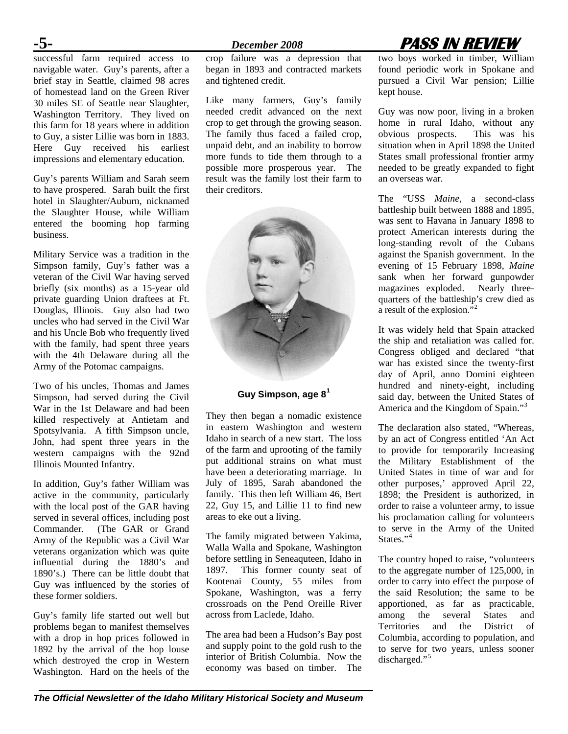successful farm required access to navigable water. Guy's parents, after a brief stay in Seattle, claimed 98 acres of homestead land on the Green River 30 miles SE of Seattle near Slaughter, Washington Territory. They lived on this farm for 18 years where in addition to Guy, a sister Lillie was born in 1883. Here Guy received his earliest impressions and elementary education.

Guy's parents William and Sarah seem to have prospered. Sarah built the first hotel in Slaughter/Auburn, nicknamed the Slaughter House, while William entered the booming hop farming business.

Military Service was a tradition in the Simpson family, Guy's father was a veteran of the Civil War having served briefly (six months) as a 15-year old private guarding Union draftees at Ft. Douglas, Illinois. Guy also had two uncles who had served in the Civil War and his Uncle Bob who frequently lived with the family, had spent three years with the 4th Delaware during all the Army of the Potomac campaigns.

Two of his uncles, Thomas and James Simpson, had served during the Civil War in the 1st Delaware and had been killed respectively at Antietam and Spotsylvania. A fifth Simpson uncle, John, had spent three years in the western campaigns with the 92nd Illinois Mounted Infantry.

In addition, Guy's father William was active in the community, particularly with the local post of the GAR having served in several offices, including post Commander. (The GAR or Grand Army of the Republic was a Civil War veterans organization which was quite influential during the 1880's and 1890's.) There can be little doubt that Guy was influenced by the stories of these former soldiers.

Guy's family life started out well but problems began to manifest themselves with a drop in hop prices followed in 1892 by the arrival of the hop louse which destroyed the crop in Western Washington. Hard on the heels of the

crop failure was a depression that began in 1893 and contracted markets and tightened credit.

Like many farmers, Guy's family needed credit advanced on the next crop to get through the growing season. The family thus faced a failed crop, unpaid debt, and an inability to borrow more funds to tide them through to a possible more prosperous year. The result was the family lost their farm to their creditors.



### **Guy Simpson, age 8<sup>1</sup>**

They then began a nomadic existence in eastern Washington and western Idaho in search of a new start. The loss of the farm and uprooting of the family put additional strains on what must have been a deteriorating marriage. In July of 1895, Sarah abandoned the family. This then left William 46, Bert 22, Guy 15, and Lillie 11 to find new areas to eke out a living.

The family migrated between Yakima, Walla Walla and Spokane, Washington before settling in Seneaquteen, Idaho in 1897. This former county seat of Kootenai County, 55 miles from Spokane, Washington, was a ferry crossroads on the Pend Oreille River across from Laclede, Idaho.

The area had been a Hudson's Bay post and supply point to the gold rush to the interior of British Columbia. Now the economy was based on timber. The

# **-5-** *December 2008* **PASS IN REVIEW**

two boys worked in timber, William found periodic work in Spokane and pursued a Civil War pension; Lillie kept house.

Guy was now poor, living in a broken home in rural Idaho, without any<br>obvious prospects. This was his obvious prospects. situation when in April 1898 the United States small professional frontier army needed to be greatly expanded to fight an overseas war.

The "USS *Maine*, a second-class battleship built between 1888 and 1895, was sent to Havana in January 1898 to protect American interests during the long-standing revolt of the Cubans against the Spanish government. In the evening of 15 February 1898, *Maine* sank when her forward gunpowder magazines exploded. Nearly threequarters of the battleship's crew died as a result of the explosion."<sup>2</sup>

It was widely held that Spain attacked the ship and retaliation was called for. Congress obliged and declared "that war has existed since the twenty-first day of April, anno Domini eighteen hundred and ninety-eight, including said day, between the United States of America and the Kingdom of Spain."<sup>3</sup>

The declaration also stated, "Whereas, by an act of Congress entitled 'An Act to provide for temporarily Increasing the Military Establishment of the United States in time of war and for other purposes,' approved April 22, 1898; the President is authorized, in order to raise a volunteer army, to issue his proclamation calling for volunteers to serve in the Army of the United States."<sup>4</sup>

The country hoped to raise, "volunteers to the aggregate number of 125,000, in order to carry into effect the purpose of the said Resolution; the same to be apportioned, as far as practicable, among the several States and Territories and the District of Columbia, according to population, and to serve for two years, unless sooner discharged."<sup>5</sup>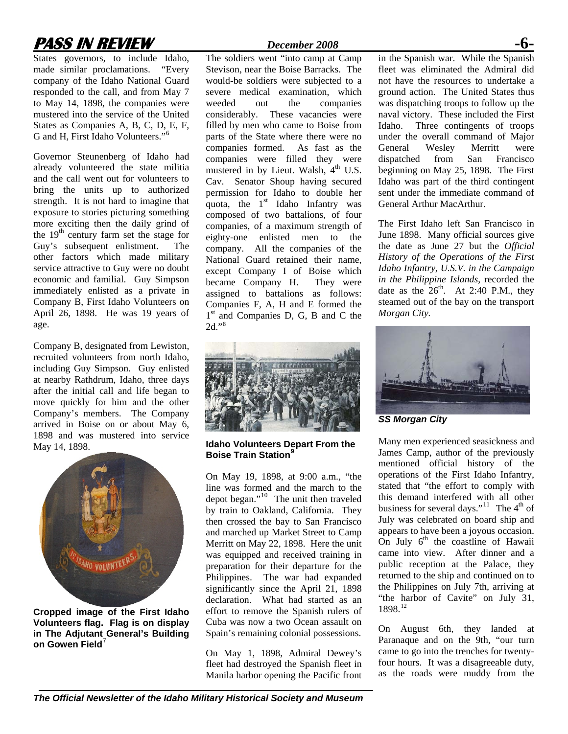# **PASS IN REVIEW** *December 2008*

States governors, to include Idaho, made similar proclamations. "Every company of the Idaho National Guard responded to the call, and from May 7 to May 14, 1898, the companies were mustered into the service of the United States as Companies A, B, C, D, E, F, G and H, First Idaho Volunteers."<sup>6</sup>

Governor Steunenberg of Idaho had already volunteered the state militia and the call went out for volunteers to bring the units up to authorized strength. It is not hard to imagine that exposure to stories picturing something more exciting then the daily grind of the  $19<sup>th</sup>$  century farm set the stage for Guy's subsequent enlistment. The other factors which made military service attractive to Guy were no doubt economic and familial. Guy Simpson immediately enlisted as a private in Company B, First Idaho Volunteers on April 26, 1898. He was 19 years of age.

Company B, designated from Lewiston, recruited volunteers from north Idaho, including Guy Simpson. Guy enlisted at nearby Rathdrum, Idaho, three days after the initial call and life began to move quickly for him and the other Company's members. The Company arrived in Boise on or about May 6, 1898 and was mustered into service May 14, 1898.



**Cropped image of the First Idaho Volunteers flag. Flag is on display in The Adjutant General's Building on Gowen Field**<sup>7</sup>

The soldiers went "into camp at Camp Stevison, near the Boise Barracks. The would-be soldiers were subjected to a severe medical examination, which weeded out the companies considerably. These vacancies were filled by men who came to Boise from parts of the State where there were no companies formed. As fast as the companies were filled they were mustered in by Lieut. Walsh, 4<sup>th</sup> U.S. Cav. Senator Shoup having secured permission for Idaho to double her quota, the  $1<sup>st</sup>$  Idaho Infantry was composed of two battalions, of four companies, of a maximum strength of eighty-one enlisted men to the company. All the companies of the National Guard retained their name, except Company I of Boise which became Company H. They were assigned to battalions as follows: Companies F, A, H and E formed the  $1<sup>st</sup>$  and Companies D, G, B and C the 2d."<sup>8</sup>



**Idaho Volunteers Depart From the Boise Train Station<sup>9</sup>**

On May 19, 1898, at 9:00 a.m., "the line was formed and the march to the depot began."10 The unit then traveled by train to Oakland, California. They then crossed the bay to San Francisco and marched up Market Street to Camp Merritt on May 22, 1898. Here the unit was equipped and received training in preparation for their departure for the Philippines. The war had expanded significantly since the April 21, 1898 declaration. What had started as an effort to remove the Spanish rulers of Cuba was now a two Ocean assault on Spain's remaining colonial possessions.

On May 1, 1898, Admiral Dewey's fleet had destroyed the Spanish fleet in Manila harbor opening the Pacific front in the Spanish war. While the Spanish fleet was eliminated the Admiral did not have the resources to undertake a ground action. The United States thus was dispatching troops to follow up the naval victory. These included the First Idaho. Three contingents of troops under the overall command of Major<br>General Wesley Merritt were General Wesley Merritt were dispatched from San Francisco beginning on May 25, 1898. The First Idaho was part of the third contingent sent under the immediate command of General Arthur MacArthur.

The First Idaho left San Francisco in June 1898. Many official sources give the date as June 27 but the *Official History of the Operations of the First Idaho Infantry, U.S.V. in the Campaign in the Philippine Islands*, recorded the date as the  $26^{th}$ . At 2:40 P.M., they steamed out of the bay on the transport *Morgan City.* 



*SS Morgan City*

Many men experienced seasickness and James Camp, author of the previously mentioned official history of the operations of the First Idaho Infantry, stated that "the effort to comply with this demand interfered with all other business for several days."<sup>11</sup> The  $4<sup>th</sup>$  of July was celebrated on board ship and appears to have been a joyous occasion. On July  $6<sup>th</sup>$  the coastline of Hawaii came into view. After dinner and a public reception at the Palace, they returned to the ship and continued on to the Philippines on July 7th, arriving at "the harbor of Cavite" on July 31, 1898.12

On August 6th, they landed at Paranaque and on the 9th, "our turn came to go into the trenches for twentyfour hours. It was a disagreeable duty, as the roads were muddy from the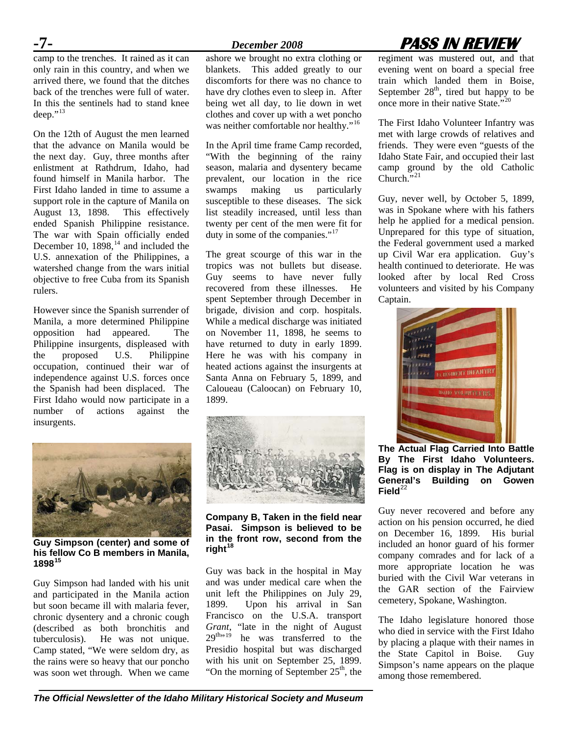$\frac{P}{C}$  camp to the trenches. It rained as it can only rain in this country, and when we arrived there, we found that the ditches back of the trenches were full of water. In this the sentinels had to stand knee  $deen.$ <sup> $,13$ </sup>

On the 12th of August the men learned that the advance on Manila would be the next day. Guy, three months after enlistment at Rathdrum, Idaho, had found himself in Manila harbor. The First Idaho landed in time to assume a support role in the capture of Manila on August 13, 1898. This effectively ended Spanish Philippine resistance. The war with Spain officially ended December 10,  $1898$ ,<sup>14</sup> and included the U.S. annexation of the Philippines, a watershed change from the wars initial objective to free Cuba from its Spanish rulers.

However since the Spanish surrender of Manila, a more determined Philippine opposition had appeared. The Philippine insurgents, displeased with the proposed U.S. Philippine occupation, continued their war of independence against U.S. forces once the Spanish had been displaced. The First Idaho would now participate in a number of actions against the insurgents.

ashore we brought no extra clothing or blankets. This added greatly to our discomforts for there was no chance to have dry clothes even to sleep in. After being wet all day, to lie down in wet clothes and cover up with a wet poncho was neither comfortable nor healthy."<sup>16</sup>

In the April time frame Camp recorded, "With the beginning of the rainy season, malaria and dysentery became prevalent, our location in the rice swamps making us particularly susceptible to these diseases. The sick list steadily increased, until less than twenty per cent of the men were fit for duty in some of the companies."<sup>17</sup>

The great scourge of this war in the tropics was not bullets but disease. Guy seems to have never fully recovered from these illnesses. He spent September through December in brigade, division and corp. hospitals. While a medical discharge was initiated on November 11, 1898, he seems to have returned to duty in early 1899. Here he was with his company in heated actions against the insurgents at Santa Anna on February 5, 1899, and Caloueau (Caloocan) on February 10, 1899.



**Guy Simpson (center) and some of his fellow Co B members in Manila, 1898<sup>15</sup>**

Guy Simpson had landed with his unit and participated in the Manila action but soon became ill with malaria fever, chronic dysentery and a chronic cough (described as both bronchitis and tuberculosis). He was not unique. Camp stated, "We were seldom dry, as the rains were so heavy that our poncho was soon wet through. When we came



**Company B, Taken in the field near Pasai. Simpson is believed to be in the front row, second from the right<sup>18</sup>**

Guy was back in the hospital in May and was under medical care when the unit left the Philippines on July 29, 1899. Upon his arrival in San Francisco on the U.S.A. transport *Grant*, "late in the night of August  $29^{\text{th,19}}$  he was transferred to the Presidio hospital but was discharged with his unit on September 25, 1899. "On the morning of September  $25<sup>th</sup>$ , the

# **-7-** *December 2008* **PASS IN REVIEW**

regiment was mustered out, and that evening went on board a special free train which landed them in Boise, September  $28<sup>th</sup>$ , tired but happy to be once more in their native State."<sup>20</sup>

The First Idaho Volunteer Infantry was met with large crowds of relatives and friends. They were even "guests of the Idaho State Fair, and occupied their last camp ground by the old Catholic Church. $\overline{N}$ <sup>21</sup>

Guy, never well, by October 5, 1899, was in Spokane where with his fathers help he applied for a medical pension. Unprepared for this type of situation, the Federal government used a marked up Civil War era application. Guy's health continued to deteriorate. He was looked after by local Red Cross volunteers and visited by his Company Captain.



**The Actual Flag Carried Into Battle By The First Idaho Volunteers. Flag is on display in The Adjutant General's Building on Gowen**   $Field<sup>22</sup>$ 

Guy never recovered and before any action on his pension occurred, he died on December 16, 1899. His burial included an honor guard of his former company comrades and for lack of a more appropriate location he was buried with the Civil War veterans in the GAR section of the Fairview cemetery, Spokane, Washington.

The Idaho legislature honored those who died in service with the First Idaho by placing a plaque with their names in the State Capitol in Boise. Guy Simpson's name appears on the plaque among those remembered.